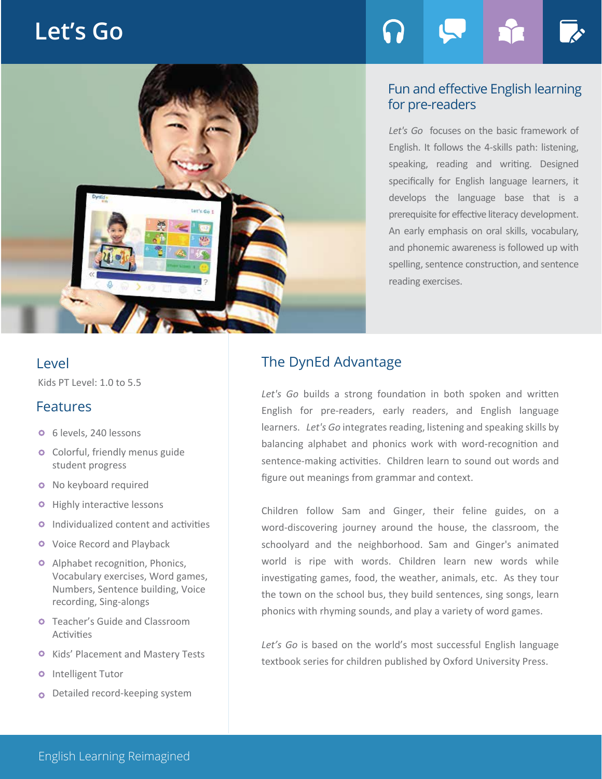# **Let's Go**





### Fun and effective English learning for pre-readers

*Let's Go* focuses on the basic framework of English. It follows the 4-skills path: listening, speaking, reading and writing. Designed specifically for English language learners, it develops the language base that is a prerequisite for effective literacy development. An early emphasis on oral skills, vocabulary, and phonemic awareness is followed up with spelling, sentence construction, and sentence reading exercises.

Kids PT Level: 1.0 to 5.5

# Features

- 6 levels, 240 lessons
- **o** Colorful, friendly menus guide student progress
- **o** No keyboard required
- **O** Highly interactive lessons
- **O** Individualized content and activities
- **O** Voice Record and Playback
- **O** Alphabet recognition, Phonics, Vocabulary exercises, Word games, Numbers, Sentence building, Voice recording, Sing-alongs
- **O** Teacher's Guide and Classroom Activities
- **O** Kids' Placement and Mastery Tests
- **o** Intelligent Tutor
- o Detailed record-keeping system

# Level The DynEd Advantage

*Let's Go* builds a strong foundation in both spoken and written English for pre-readers, early readers, and English language learners. *Let's Go* integrates reading, listening and speaking skills by balancing alphabet and phonics work with word-recognition and sentence-making activities. Children learn to sound out words and figure out meanings from grammar and context.

Children follow Sam and Ginger, their feline guides, on a word-discovering journey around the house, the classroom, the schoolyard and the neighborhood. Sam and Ginger's animated world is ripe with words. Children learn new words while investigating games, food, the weather, animals, etc. As they tour the town on the school bus, they build sentences, sing songs, learn phonics with rhyming sounds, and play a variety of word games.

Let's Go is based on the world's most successful English language textbook series for children published by Oxford University Press.